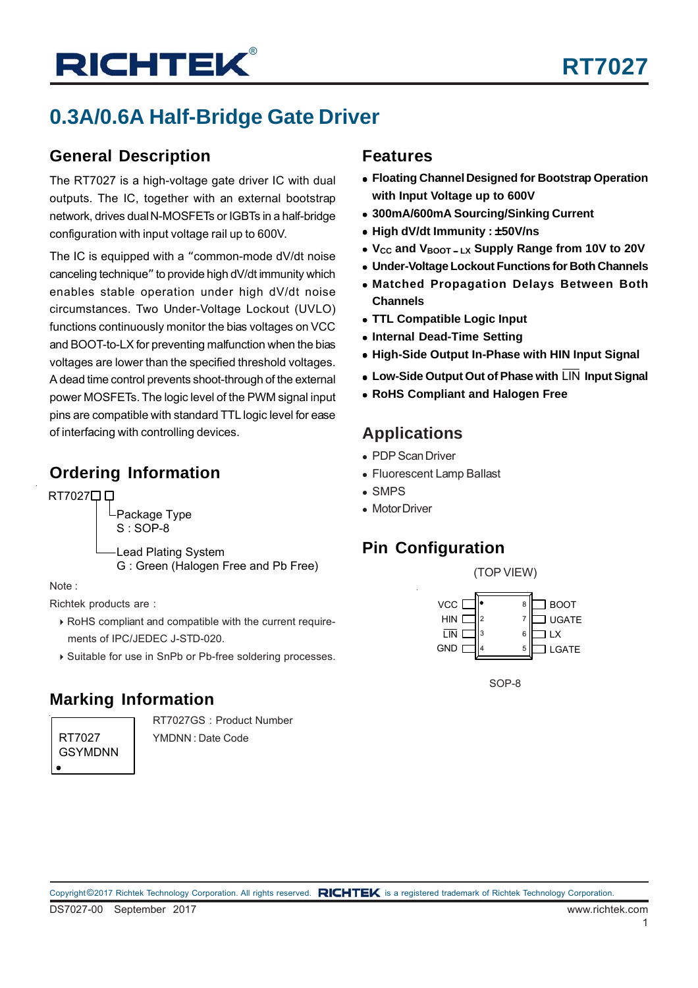# **0.3A/0.6A Half-Bridge Gate Driver**

### **General Description**

The RT7027 is a high-voltage gate driver IC with dual outputs. The IC, together with an external bootstrap network, drives dual N-MOSFETs or IGBTs in a half-bridge configuration with input voltage rail up to 600V.

The IC is equipped with a "common-mode dV/dt noise canceling technique" to provide high dV/dt immunity which enables stable operation under high dV/dt noise circumstances. Two Under-Voltage Lockout (UVLO) functions continuously monitor the bias voltages on VCC and BOOT-to-LX for preventing malfunction when the bias voltages are lower than the specified threshold voltages. A dead time control prevents shoot-through of the external power MOSFETs. The logic level of the PWM signal input pins are compatible with standard TTL logic level for ease of interfacing with controlling devices.

### **Ordering Information**

RT702700

Package Type S : SOP-8 Lead Plating System

G : Green (Halogen Free and Pb Free)

#### Note :

Richtek products are :

- RoHS compliant and compatible with the current require ments of IPC/JEDEC J-STD-020.
- Suitable for use in SnPb or Pb-free soldering processes.

### **Marking Information**

RT7027 GSYMDNN RT7027GS : Product Number YMDNN : Date Code

### **Features**

- **Floating Channel Designed for Bootstrap Operation with Input Voltage up to 600V**
- **300mA/600mA Sourcing/Sinking Current**
- **High dV/dt Immunity :** ±**50V/ns**
- **VCC and VBOOT** − **LX Supply Range from 10V to 20V**
- **Under-Voltage Lockout Functions for Both Channels**
- **Matched Propagation Delays Between Both Channels**
- **TTL Compatible Logic Input**
- **Internal Dead-Time Setting**
- **High-Side Output In-Phase with HIN Input Signal**
- **Low-Side Output Out of Phase with** LIN **Input Signal**
- **RoHS Compliant and Halogen Free**

### **Applications**

- PDP Scan Driver
- Fluorescent Lamp Ballast
- SMPS
- Motor Driver

### **Pin Configuration**



SOP-8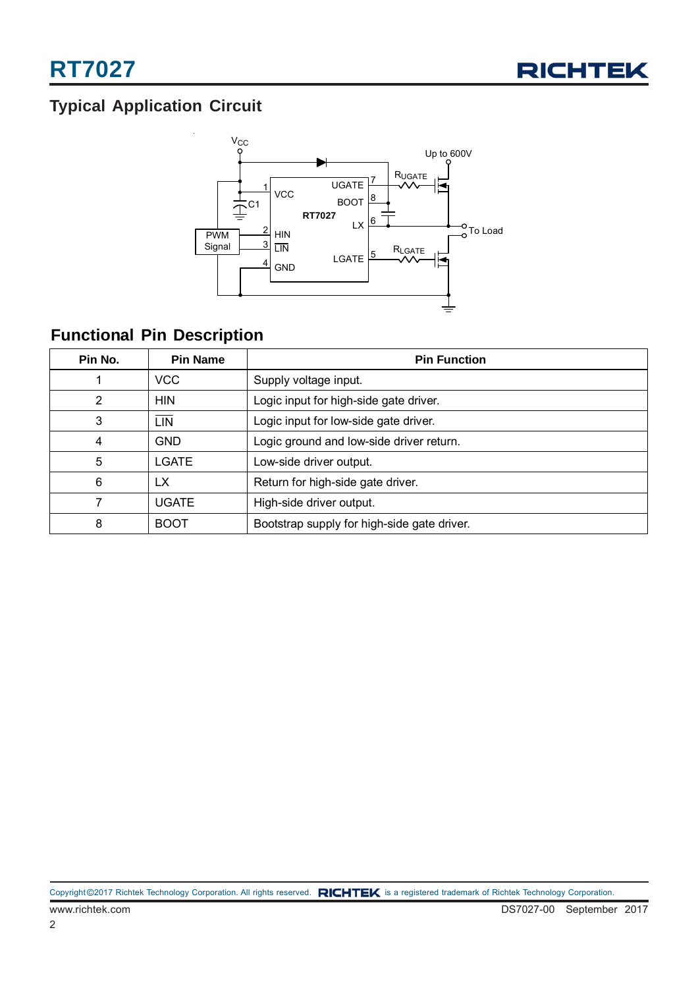

## **Typical Application Circuit**



### **Functional Pin Description**

| Pin No. | <b>Pin Name</b> | <b>Pin Function</b>                         |  |
|---------|-----------------|---------------------------------------------|--|
|         | <b>VCC</b>      | Supply voltage input.                       |  |
| 2       | <b>HIN</b>      | Logic input for high-side gate driver.      |  |
| 3       | LIN             | Logic input for low-side gate driver.       |  |
| 4       | <b>GND</b>      | Logic ground and low-side driver return.    |  |
| 5       | LGATE           | Low-side driver output.                     |  |
| 6       | LX              | Return for high-side gate driver.           |  |
| 7       | <b>UGATE</b>    | High-side driver output.                    |  |
| 8       | <b>BOOT</b>     | Bootstrap supply for high-side gate driver. |  |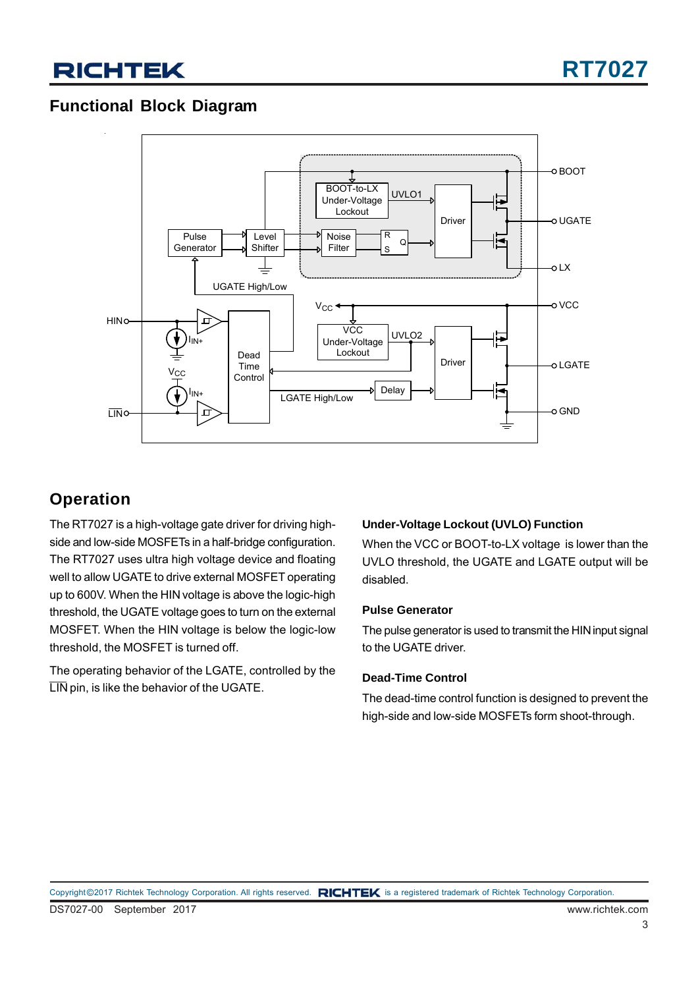### **Functional Block Diagram**



### **Operation**

The RT7027 is a high-voltage gate driver for driving highside and low-side MOSFETs in a half-bridge configuration. The RT7027 uses ultra high voltage device and floating well to allow UGATE to drive external MOSFET operating up to 600V. When the HIN voltage is above the logic-high threshold, the UGATE voltage goes to turn on the external MOSFET. When the HIN voltage is below the logic-low threshold, the MOSFET is turned off.

The operating behavior of the LGATE, controlled by the LIN pin, is like the behavior of the UGATE.

#### **Under-Voltage Lockout (UVLO) Function**

When the VCC or BOOT-to-LX voltage is lower than the UVLO threshold, the UGATE and LGATE output will be disabled.

#### **Pulse Generator**

The pulse generator is used to transmit the HIN input signal to the UGATE driver.

#### **Dead-Time Control**

The dead-time control function is designed to prevent the high-side and low-side MOSFETs form shoot-through.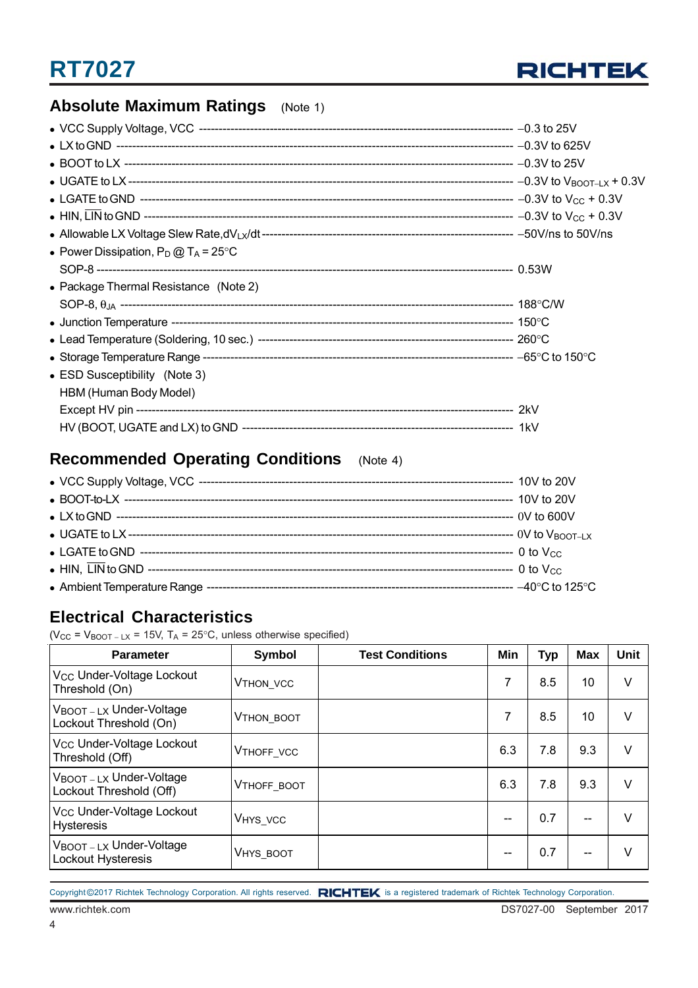

### **Absolute Maximum Ratings** (Note 1)

| • Power Dissipation, $P_D @ T_A = 25^{\circ}C$ |  |
|------------------------------------------------|--|
|                                                |  |
| • Package Thermal Resistance (Note 2)          |  |
|                                                |  |
|                                                |  |
|                                                |  |
|                                                |  |
| • ESD Susceptibility (Note 3)                  |  |
| HBM (Human Body Model)                         |  |
|                                                |  |
|                                                |  |

### **Recommended Operating Conditions** (Note 4)

### **Electrical Characteristics**

(V<sub>CC</sub> = V<sub>BOOT – LX</sub> = 15V, T<sub>A</sub> = 25°C, unless otherwise specified)

| <b>Parameter</b>                                             | Symbol                | <b>Test Conditions</b> | Min | <b>Typ</b> | <b>Max</b> | <b>Unit</b> |
|--------------------------------------------------------------|-----------------------|------------------------|-----|------------|------------|-------------|
| Vcc Under-Voltage Lockout<br>Threshold (On)                  | V <sub>THON_VCC</sub> |                        | 7   | 8.5        | 10         | $\vee$      |
| $V_{\text{BOOT}-LX}$ Under-Voltage<br>Lockout Threshold (On) | <b>VTHON BOOT</b>     |                        | 7   | 8.5        | 10         | $\vee$      |
| V <sub>CC</sub> Under-Voltage Lockout<br>Threshold (Off)     | <b>VTHOFF VCC</b>     |                        | 6.3 | 7.8        | 9.3        | $\vee$      |
| VBOOT-LX Under-Voltage<br>Lockout Threshold (Off)            | <b>VTHOFF BOOT</b>    |                        | 6.3 | 7.8        | 9.3        | $\vee$      |
| Vcc Under-Voltage Lockout<br><b>Hysteresis</b>               | VHYS_VCC              |                        |     | 0.7        |            | $\vee$      |
| VBOOT-LX Under-Voltage<br>Lockout Hysteresis                 | VHYS_BOOT             |                        |     | 0.7        |            | $\vee$      |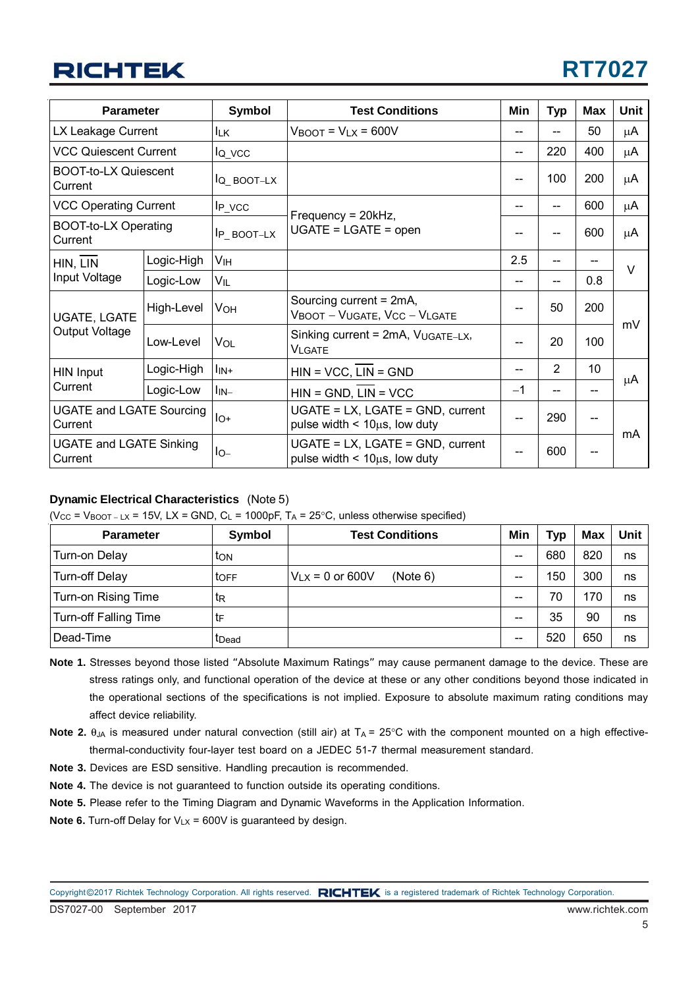# **RT7027**

| <b>Parameter</b>                           |            | Symbol                       | <b>Test Conditions</b>                                                                                        |      | <b>Typ</b> | <b>Max</b> | <b>Unit</b> |
|--------------------------------------------|------------|------------------------------|---------------------------------------------------------------------------------------------------------------|------|------------|------------|-------------|
| LX Leakage Current                         |            | llk.                         | $V_{\text{BOOT}} = V_{\text{LX}} = 600V$                                                                      |      |            | 50         | μA          |
| <b>VCC Quiescent Current</b>               |            | $I_{Q_VCC}$                  |                                                                                                               |      | 220        | 400        | μA          |
| <b>BOOT-to-LX Quiescent</b><br>Current     |            | $IQ_BOOT-LX$                 |                                                                                                               |      | 100        | 200        | μA          |
| <b>VCC Operating Current</b>               |            | $IP_VCC$                     |                                                                                                               |      |            | 600        | μA          |
| <b>BOOT-to-LX Operating</b><br>Current     |            | $IP$ _BOOT-LX                | Frequency = 20kHz,<br>$UGATE = LGATE = open$                                                                  |      | --         | 600        | μA          |
| HIN, LIN                                   | Logic-High | Vıн                          |                                                                                                               |      | $-$        |            | $\vee$      |
| Input Voltage                              | Logic-Low  | VIL                          |                                                                                                               |      |            | 0.8        |             |
| <b>UGATE, LGATE</b><br>Output Voltage      | High-Level | <b>V<sub>OH</sub></b>        | Sourcing current = 2mA,<br>VBOOT - VUGATE, VCC - VLGATE<br>Sinking current = 2mA, VUGATE-LX,<br><b>VLGATE</b> |      | 50         | 200        |             |
|                                            | Low-Level  | <b>VOL</b>                   |                                                                                                               |      | 20         | 100        | mV          |
| <b>HIN Input</b>                           | Logic-High | $\mathsf{I}_{\mathsf{IN}^+}$ | $HIN = VCC$ , $LIN = GND$                                                                                     |      | 2          | 10         |             |
| Current                                    | Logic-Low  | $\mathsf{I}_{\mathsf{IN}-}$  | $HIN = GND$ , $LIN = VCC$                                                                                     | $-1$ | $-$        |            | μA          |
| <b>UGATE and LGATE Sourcing</b><br>Current |            | $I_{O^+}$                    | UGATE = LX, LGATE = GND, current<br>pulse width $<$ 10 $\mu$ s, low duty                                      |      | 290        | --         | mA          |
| <b>UGATE and LGATE Sinking</b><br>Current  |            | $I_{O-}$                     | UGATE = LX, LGATE = GND, current<br>pulse width $\leq 10\mu s$ , low duty                                     |      | 600        | --         |             |

#### **Dynamic Electrical Characteristics** (Note 5)

|  |  | (Vcc = $V_{\text{BOOT}-LX}$ = 15V, LX = GND, C <sub>L</sub> = 1000pF, T <sub>A</sub> = 25°C, unless otherwise specified) |
|--|--|--------------------------------------------------------------------------------------------------------------------------|

| <b>Parameter</b>             | Symbol            | <b>Test Conditions</b>           |    | <b>Typ</b> | Max | Unit |
|------------------------------|-------------------|----------------------------------|----|------------|-----|------|
| Turn-on Delay                | ton               |                                  | -- | 680        | 820 | ns   |
| <b>Turn-off Delay</b>        | <b>TOFF</b>       | $V_{LX}$ = 0 or 600V<br>(Note 6) | -- | 150        | 300 | ns   |
| Turn-on Rising Time          | tR                |                                  | -- | 70         | 170 | ns   |
| <b>Turn-off Falling Time</b> | tF                |                                  | -- | 35         | 90  | ns   |
| Dead-Time                    | t <sub>Dead</sub> |                                  | -- | 520        | 650 | ns   |

- **Note 1.** Stresses beyond those listed "Absolute Maximum Ratings" may cause permanent damage to the device. These are stress ratings only, and functional operation of the device at these or any other conditions beyond those indicated in the operational sections of the specifications is not implied. Exposure to absolute maximum rating conditions may affect device reliability.
- **Note 2.**  $\theta_{JA}$  is measured under natural convection (still air) at  $T_A = 25^\circ$ C with the component mounted on a high effectivethermal-conductivity four-layer test board on a JEDEC 51-7 thermal measurement standard.
- **Note 3.** Devices are ESD sensitive. Handling precaution is recommended.
- **Note 4.** The device is not guaranteed to function outside its operating conditions.
- **Note 5.** Please refer to the Timing Diagram and Dynamic Waveforms in the Application Information.
- **Note 6.** Turn-off Delay for  $V_{LX}$  = 600V is guaranteed by design.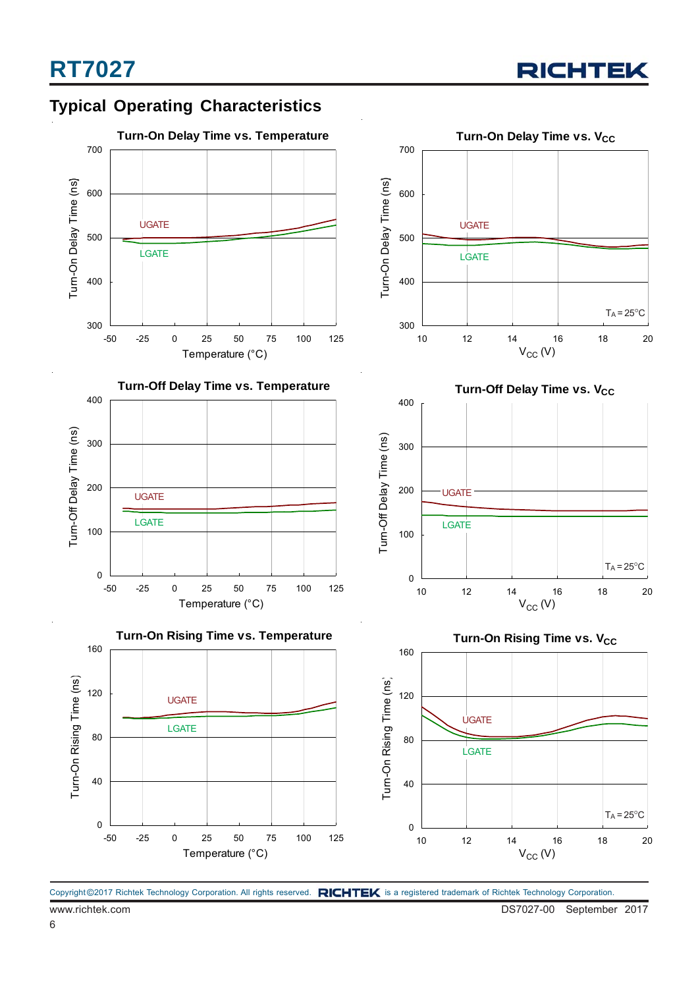



www.richtek.com DS7027-00 September 2017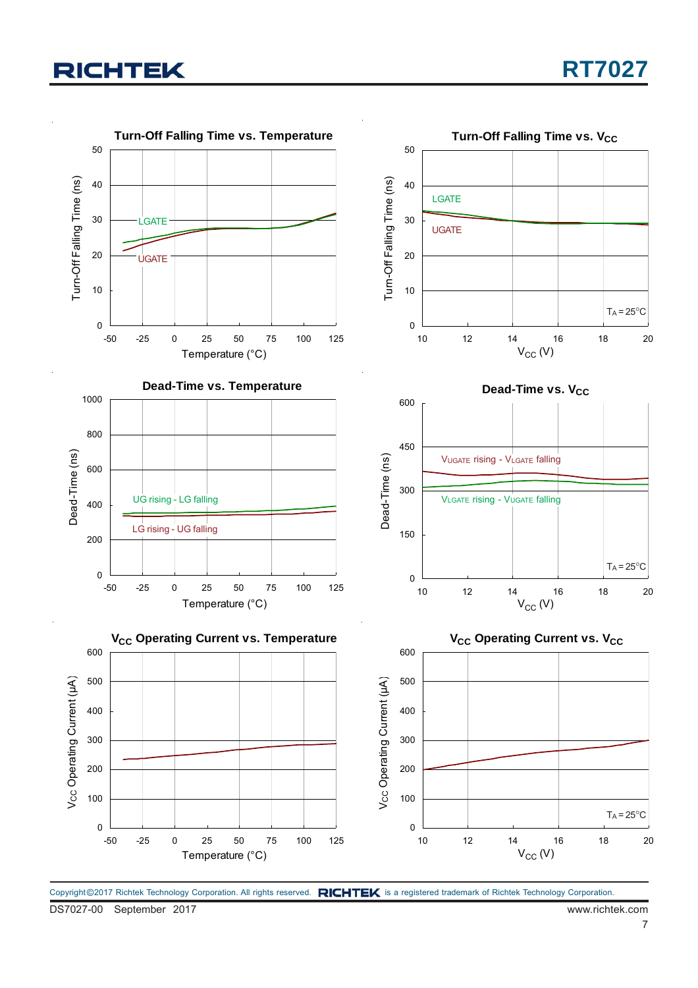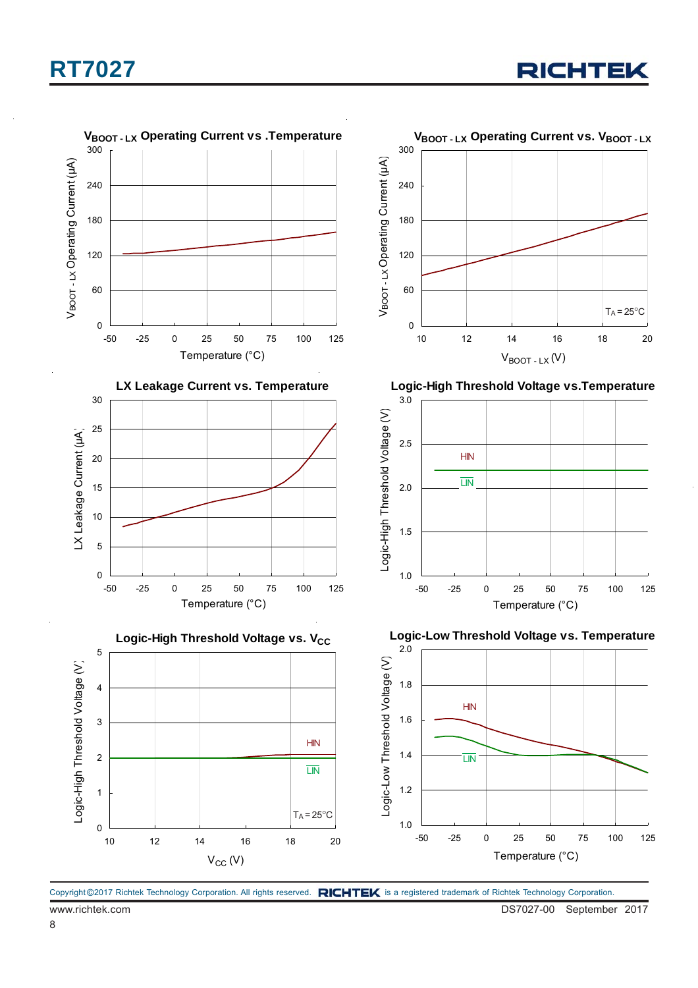



Copyright @2017 Richtek Technology Corporation. All rights reserved. RICHTEK is a registered trademark of Richtek Technology Corporation.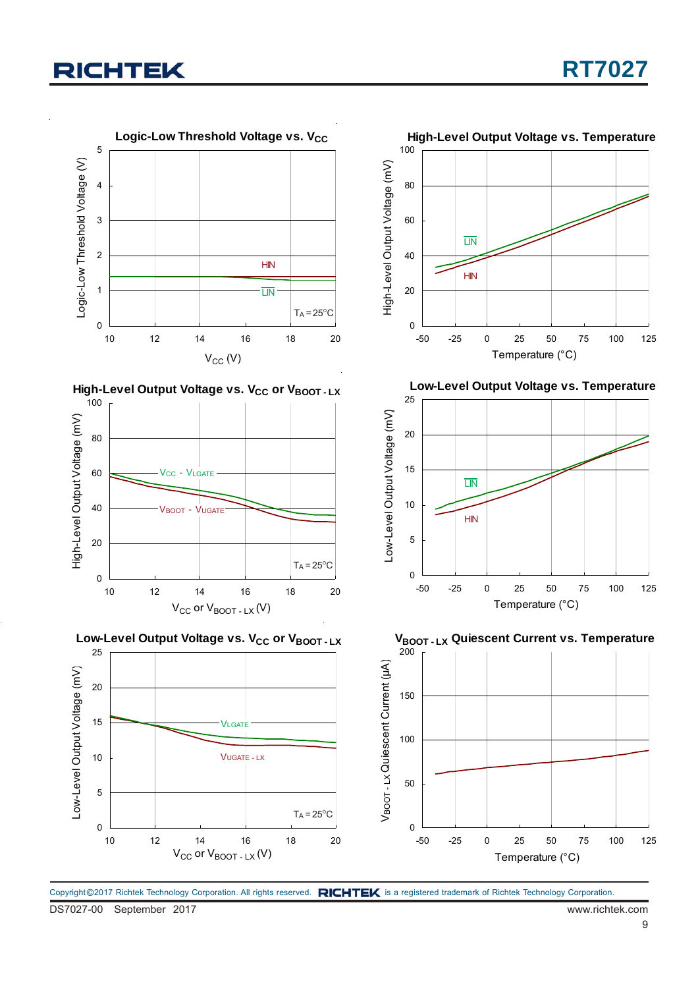











**Low-Level Output Voltage vs. Temperature**



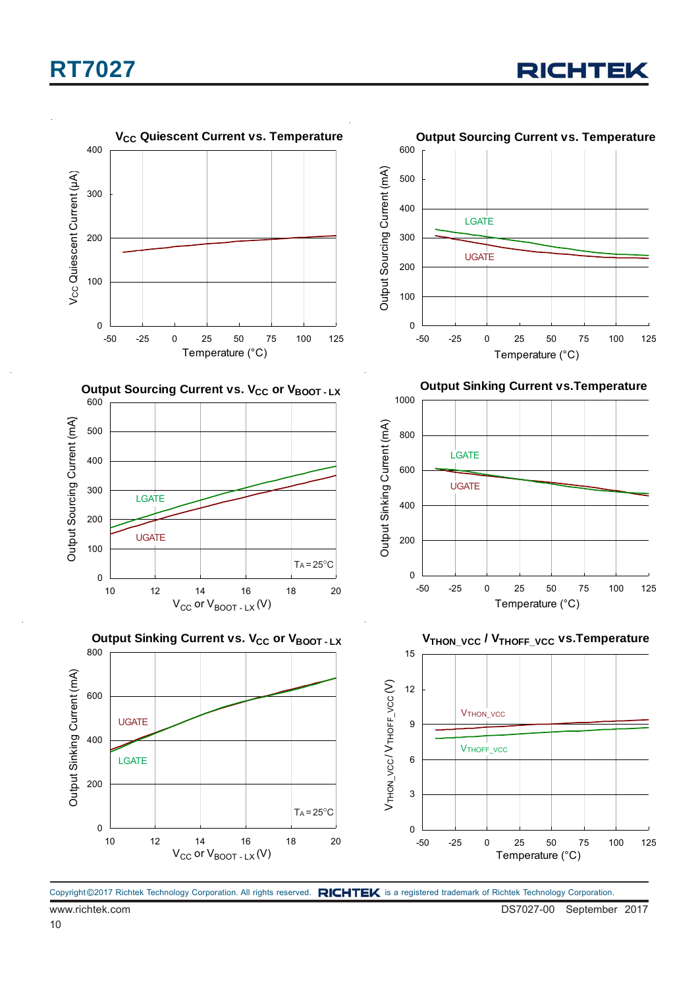

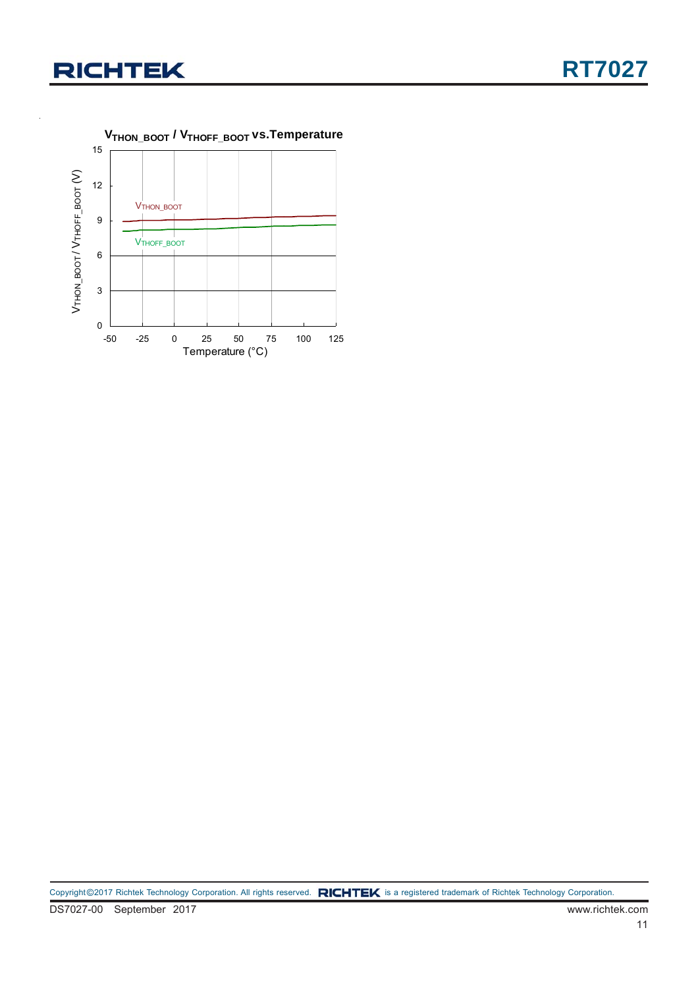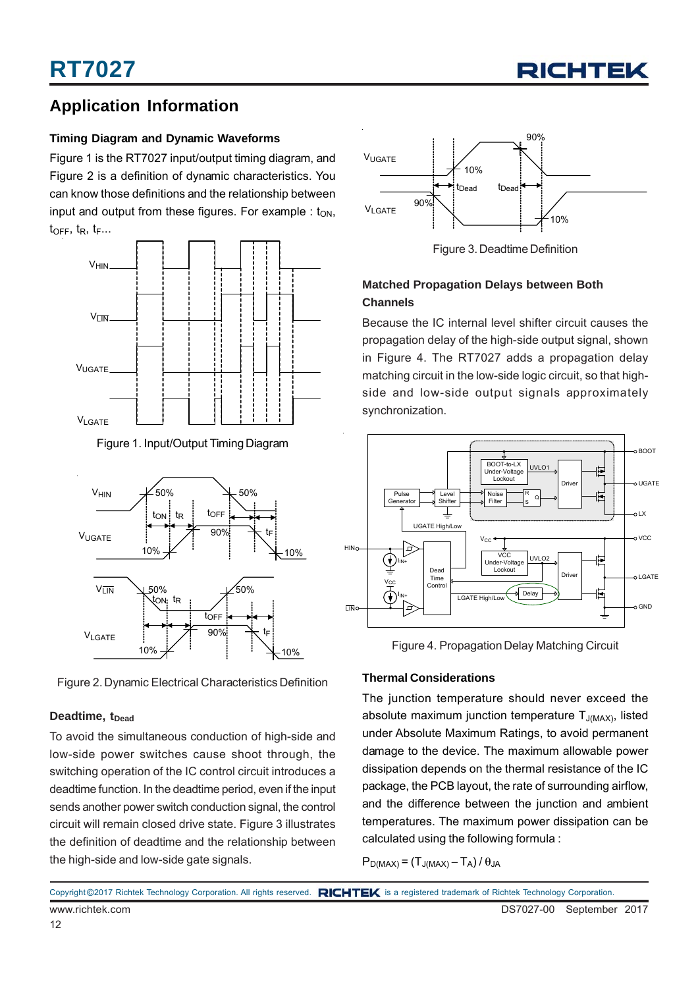

### **Application Information**

#### **Timing Diagram and Dynamic Waveforms**

Figure 1 is the RT7027 input/output timing diagram, and Figure 2 is a definition of dynamic characteristics. You can know those definitions and the relationship between input and output from these figures. For example :  $t_{ON}$ ,  $t_{\text{OFF}}$ ,  $t_{\text{R}}$ ,  $t_{\text{F}}$ ...



Figure 1. Input/Output Timing Diagram



Figure 2. Dynamic Electrical Characteristics Definition

#### **Deadtime, t<sub>Dead</sub>**

To avoid the simultaneous conduction of high-side and low-side power switches cause shoot through, the switching operation of the IC control circuit introduces a deadtime function. In the deadtime period, even if the input sends another power switch conduction signal, the control circuit will remain closed drive state. Figure 3 illustrates the definition of deadtime and the relationship between the high-side and low-side gate signals.



Figure 3. Deadtime Definition

#### **Matched Propagation Delays between Both Channels**

Because the IC internal level shifter circuit causes the propagation delay of the high-side output signal, shown in Figure 4. The RT7027 adds a propagation delay matching circuit in the low-side logic circuit, so that highside and low-side output signals approximately synchronization.



Figure 4. Propagation Delay Matching Circuit

#### **Thermal Considerations**

The junction temperature should never exceed the absolute maximum junction temperature  $T_{J(MAX)}$ , listed under Absolute Maximum Ratings, to avoid permanent damage to the device. The maximum allowable power dissipation depends on the thermal resistance of the IC package, the PCB layout, the rate of surrounding airflow, and the difference between the junction and ambient temperatures. The maximum power dissipation can be calculated using the following formula :

 $P_{D(MAX)} = (T_{J(MAX)} - T_A)/\theta_{JA}$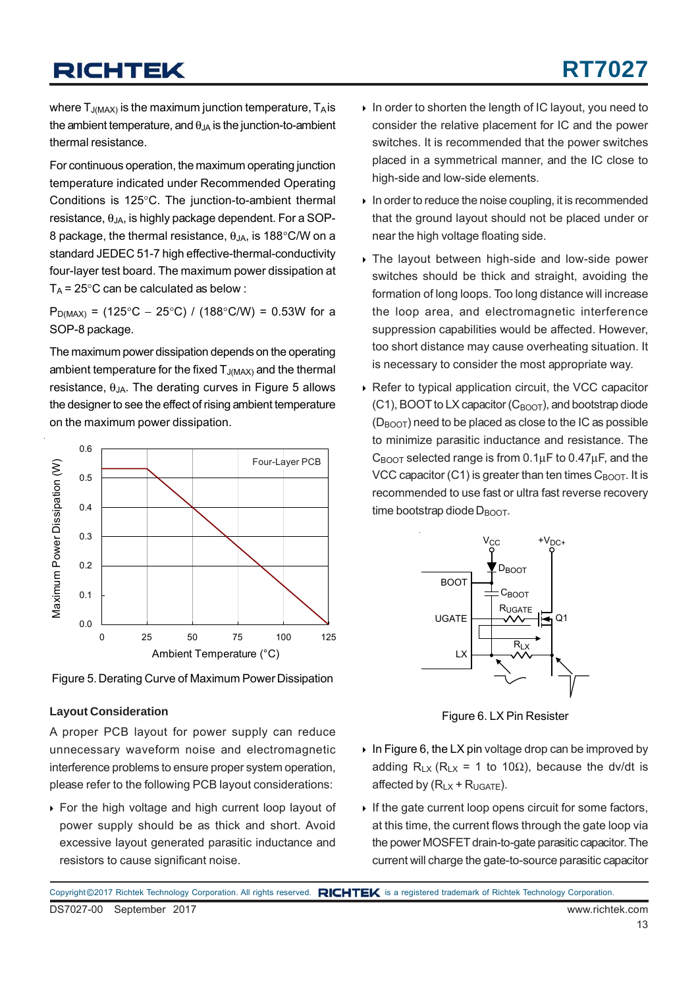# **RT7027**

where  $T_{J(MAX)}$  is the maximum junction temperature,  $T_A$  is the ambient temperature, and  $\theta_{JA}$  is the junction-to-ambient thermal resistance.

For continuous operation, the maximum operating junction temperature indicated under Recommended Operating Conditions is 125°C. The junction-to-ambient thermal resistance,  $\theta_{JA}$ , is highly package dependent. For a SOP-8 package, the thermal resistance,  $\theta_{JA}$ , is 188°C/W on a standard JEDEC 51-7 high effective-thermal-conductivity four-layer test board. The maximum power dissipation at  $T_A$  = 25°C can be calculated as below :

 $P_{D(MAX)}$  = (125°C – 25°C) / (188°C/W) = 0.53W for a SOP-8 package.

The maximum power dissipation depends on the operating ambient temperature for the fixed  $T_{J(MAX)}$  and the thermal resistance,  $θ_{JA}$ . The derating curves in Figure 5 allows the designer to see the effect of rising ambient temperature on the maximum power dissipation.



Figure 5. Derating Curve of Maximum Power Dissipation

#### **Layout Consideration**

A proper PCB layout for power supply can reduce unnecessary waveform noise and electromagnetic interference problems to ensure proper system operation, please refer to the following PCB layout considerations:

 For the high voltage and high current loop layout of power supply should be as thick and short. Avoid excessive layout generated parasitic inductance and resistors to cause significant noise.

- In order to shorten the length of IC layout, you need to consider the relative placement for IC and the power switches. It is recommended that the power switches placed in a symmetrical manner, and the IC close to high-side and low-side elements.
- $\triangleright$  In order to reduce the noise coupling, it is recommended that the ground layout should not be placed under or near the high voltage floating side.
- The layout between high-side and low-side power switches should be thick and straight, avoiding the formation of long loops. Too long distance will increase the loop area, and electromagnetic interference suppression capabilities would be affected. However, too short distance may cause overheating situation. It is necessary to consider the most appropriate way.
- ▶ Refer to typical application circuit, the VCC capacitor  $(C1)$ , BOOT to LX capacitor  $(C_{\text{BOOT}})$ , and bootstrap diode  $(D_{\text{BOOT}})$  need to be placed as close to the IC as possible to minimize parasitic inductance and resistance. The  $C_{\text{BOOT}}$  selected range is from 0.1 $\mu$ F to 0.47 $\mu$ F, and the VCC capacitor (C1) is greater than ten times  $C_{\text{BOOT}}$ . It is recommended to use fast or ultra fast reverse recovery  $time$  bootstrap diode  $D_{\text{B}\cap\Omega}$ .



Figure 6. LX Pin Resister

- In Figure 6, the LX pin voltage drop can be improved by adding  $R_{LX}$  ( $R_{LX}$  = 1 to 10 $\Omega$ ), because the dv/dt is affected by  $(R_{LX} + R_{UGATE})$ .
- If the gate current loop opens circuit for some factors, at this time, the current flows through the gate loop via the power MOSFET drain-to-gate parasitic capacitor. The current will charge the gate-to-source parasitic capacitor

DS7027-00 September 2017 www.richtek.com Copyright ©2017 Richtek Technology Corporation. All rights reserved. RICHTEK is a registered trademark of Richtek Technology Corporation.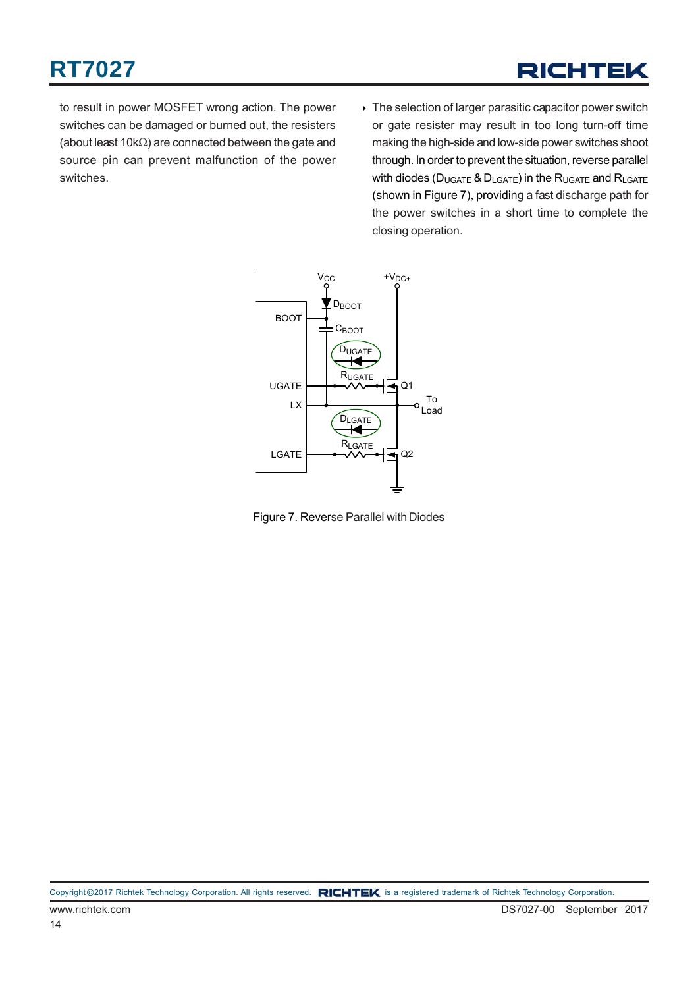to result in power MOSFET wrong action. The power switches can be damaged or burned out, the resisters (about least 10kΩ) are connected between the gate and source pin can prevent malfunction of the power switches.

▶ The selection of larger parasitic capacitor power switch or gate resister may result in too long turn-off time making the high-side and low-side power switches shoot through. In order to prevent the situation, reverse parallel with diodes ( $D_{UGATE}$  &  $D_{LGATE}$ ) in the  $R_{UGATE}$  and  $R_{LGATE}$ (shown in Figure 7), providing a fast discharge path for the power switches in a short time to complete the closing operation.



Figure 7. Reverse Parallel with Diodes